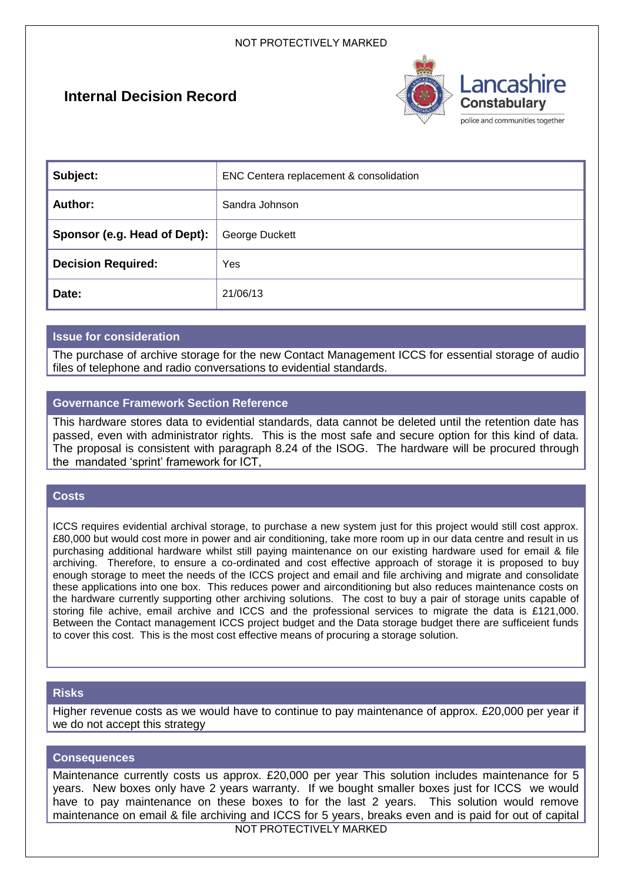# **Internal Decision Record**



| Subject:                     | ENC Centera replacement & consolidation |
|------------------------------|-----------------------------------------|
| Author:                      | Sandra Johnson                          |
| Sponsor (e.g. Head of Dept): | George Duckett                          |
| <b>Decision Required:</b>    | Yes                                     |
| Date:                        | 21/06/13                                |

# **Issue for consideration**

The purchase of archive storage for the new Contact Management ICCS for essential storage of audio files of telephone and radio conversations to evidential standards.

# **Governance Framework Section Reference**

This hardware stores data to evidential standards, data cannot be deleted until the retention date has passed, even with administrator rights. This is the most safe and secure option for this kind of data. The proposal is consistent with paragraph 8.24 of the ISOG. The hardware will be procured through the mandated 'sprint' framework for ICT,

# **Costs**

ICCS requires evidential archival storage, to purchase a new system just for this project would still cost approx. £80,000 but would cost more in power and air conditioning, take more room up in our data centre and result in us purchasing additional hardware whilst still paying maintenance on our existing hardware used for email & file archiving. Therefore, to ensure a co-ordinated and cost effective approach of storage it is proposed to buy enough storage to meet the needs of the ICCS project and email and file archiving and migrate and consolidate these applications into one box. This reduces power and airconditioning but also reduces maintenance costs on the hardware currently supporting other archiving solutions. The cost to buy a pair of storage units capable of storing file achive, email archive and ICCS and the professional services to migrate the data is £121,000. Between the Contact management ICCS project budget and the Data storage budget there are sufficeient funds to cover this cost. This is the most cost effective means of procuring a storage solution.

# **Risks**

Higher revenue costs as we would have to continue to pay maintenance of approx. £20,000 per year if we do not accept this strategy

#### **Consequences**

Maintenance currently costs us approx. £20,000 per year This solution includes maintenance for 5 years. New boxes only have 2 years warranty. If we bought smaller boxes just for ICCS we would have to pay maintenance on these boxes to for the last 2 years. This solution would remove maintenance on email & file archiving and ICCS for 5 years, breaks even and is paid for out of capital

NOT PROTECTIVELY MARKED